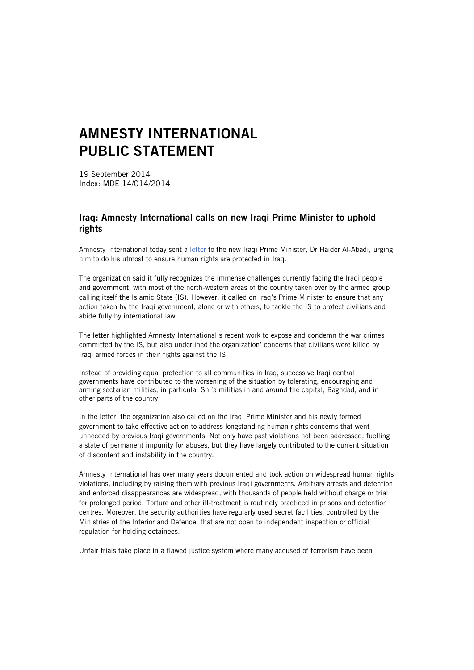## **AMNESTY INTERNATIONAL PUBLIC STATEMENT**

19 September 2014 Index: MDE 14/014/2014

## **Iraq: Amnesty International calls on new Iraqi Prime Minister to uphold rights**

Amnesty International today sent a [letter](http://www.amnesty.org/en/library/asset/MDE14/013/2014/en/3250e599-f893-4c1d-a246-7011d74ad9be/mde140132014en.pdf) to the new Iraqi Prime Minister, Dr Haider Al-Abadi, urging him to do his utmost to ensure human rights are protected in Iraq.

The organization said it fully recognizes the immense challenges currently facing the Iraqi people and government, with most of the north-western areas of the country taken over by the armed group calling itself the Islamic State (IS). However, it called on Iraq's Prime Minister to ensure that any action taken by the Iraqi government, alone or with others, to tackle the IS to protect civilians and abide fully by international law.

The letter highlighted Amnesty International's recent work to expose and condemn the war crimes committed by the IS, but also underlined the organization' concerns that civilians were killed by Iraqi armed forces in their fights against the IS.

Instead of providing equal protection to all communities in Iraq, successive Iraqi central governments have contributed to the worsening of the situation by tolerating, encouraging and arming sectarian militias, in particular Shi'a militias in and around the capital, Baghdad, and in other parts of the country.

In the letter, the organization also called on the Iraqi Prime Minister and his newly formed government to take effective action to address longstanding human rights concerns that went unheeded by previous Iraqi governments. Not only have past violations not been addressed, fuelling a state of permanent impunity for abuses, but they have largely contributed to the current situation of discontent and instability in the country.

Amnesty International has over many years documented and took action on widespread human rights violations, including by raising them with previous Iraqi governments. Arbitrary arrests and detention and enforced disappearances are widespread, with thousands of people held without charge or trial for prolonged period. Torture and other ill-treatment is routinely practiced in prisons and detention centres. Moreover, the security authorities have regularly used secret facilities, controlled by the Ministries of the Interior and Defence, that are not open to independent inspection or official regulation for holding detainees.

Unfair trials take place in a flawed justice system where many accused of terrorism have been